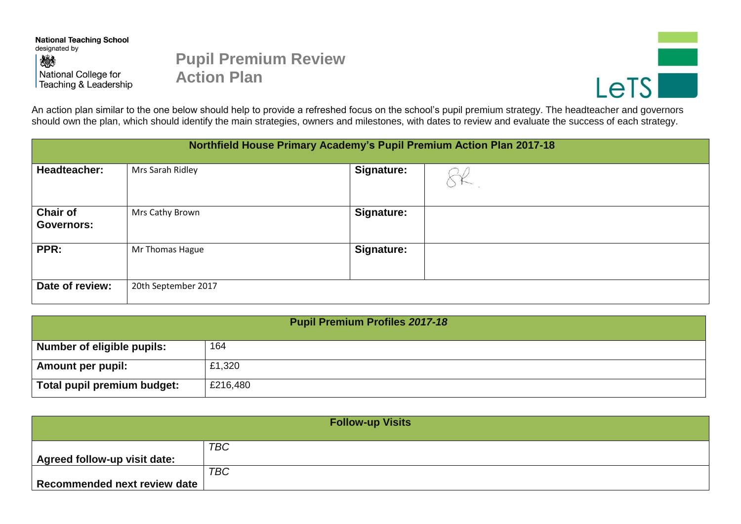**National Teaching School** designated by 燃 National College for Teaching & Leadership

## **Pupil Premium Review Action Plan**



An action plan similar to the one below should help to provide a refreshed focus on the school's pupil premium strategy. The headteacher and governors should own the plan, which should identify the main strategies, owners and milestones, with dates to review and evaluate the success of each strategy.

| Northfield House Primary Academy's Pupil Premium Action Plan 2017-18 |                     |                   |  |  |  |
|----------------------------------------------------------------------|---------------------|-------------------|--|--|--|
| <b>Headteacher:</b>                                                  | Mrs Sarah Ridley    | <b>Signature:</b> |  |  |  |
| <b>Chair of</b><br><b>Governors:</b>                                 | Mrs Cathy Brown     | <b>Signature:</b> |  |  |  |
| PPR:                                                                 | Mr Thomas Hague     | <b>Signature:</b> |  |  |  |
| Date of review:                                                      | 20th September 2017 |                   |  |  |  |

| <b>Pupil Premium Profiles 2017-18</b> |          |  |  |  |
|---------------------------------------|----------|--|--|--|
| Number of eligible pupils:            | 164      |  |  |  |
| <b>Amount per pupil:</b>              | £1,320   |  |  |  |
| Total pupil premium budget:           | £216,480 |  |  |  |

| <b>Follow-up Visits</b>             |            |  |  |  |
|-------------------------------------|------------|--|--|--|
|                                     | <b>TBC</b> |  |  |  |
| <b>Agreed follow-up visit date:</b> |            |  |  |  |
|                                     | <b>TBC</b> |  |  |  |
| Recommended next review date        |            |  |  |  |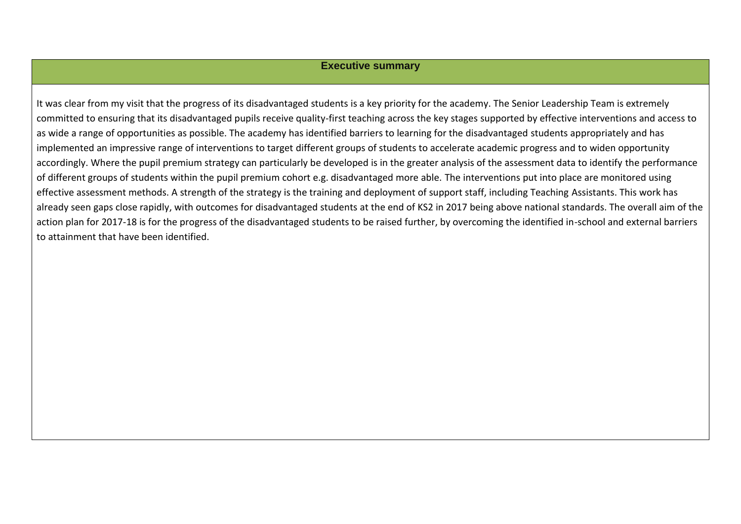## **Executive summary**

It was clear from my visit that the progress of its disadvantaged students is a key priority for the academy. The Senior Leadership Team is extremely committed to ensuring that its disadvantaged pupils receive quality-first teaching across the key stages supported by effective interventions and access to as wide a range of opportunities as possible. The academy has identified barriers to learning for the disadvantaged students appropriately and has implemented an impressive range of interventions to target different groups of students to accelerate academic progress and to widen opportunity accordingly. Where the pupil premium strategy can particularly be developed is in the greater analysis of the assessment data to identify the performance of different groups of students within the pupil premium cohort e.g. disadvantaged more able. The interventions put into place are monitored using effective assessment methods. A strength of the strategy is the training and deployment of support staff, including Teaching Assistants. This work has already seen gaps close rapidly, with outcomes for disadvantaged students at the end of KS2 in 2017 being above national standards. The overall aim of the action plan for 2017-18 is for the progress of the disadvantaged students to be raised further, by overcoming the identified in-school and external barriers to attainment that have been identified.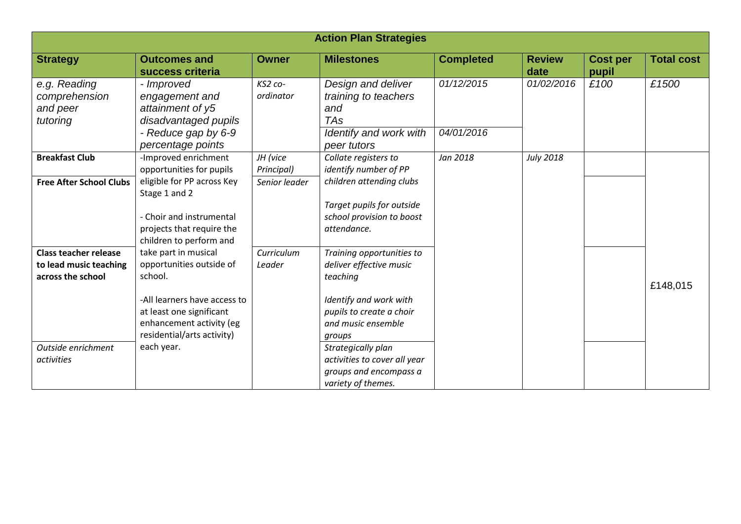| <b>Action Plan Strategies</b>                                               |                                                                                                                      |                                         |                                                                                                          |                          |                       |                          |                   |
|-----------------------------------------------------------------------------|----------------------------------------------------------------------------------------------------------------------|-----------------------------------------|----------------------------------------------------------------------------------------------------------|--------------------------|-----------------------|--------------------------|-------------------|
| <b>Strategy</b>                                                             | <b>Outcomes and</b><br>success criteria                                                                              | <b>Owner</b>                            | <b>Milestones</b>                                                                                        | <b>Completed</b>         | <b>Review</b><br>date | <b>Cost per</b><br>pupil | <b>Total cost</b> |
| e.g. Reading<br>comprehension<br>and peer<br>tutoring                       | - Improved<br>engagement and<br>attainment of y5<br>disadvantaged pupils<br>- Reduce gap by 6-9<br>percentage points | $KS2$ co-<br>ordinator                  | Design and deliver<br>training to teachers<br>and<br><b>TAs</b><br>Identify and work with<br>peer tutors | 01/12/2015<br>04/01/2016 | 01/02/2016            | £100                     | £1500             |
| <b>Breakfast Club</b><br><b>Free After School Clubs</b>                     | -Improved enrichment<br>opportunities for pupils<br>eligible for PP across Key                                       | JH (vice<br>Principal)<br>Senior leader | Collate registers to<br>identify number of PP<br>children attending clubs                                | Jan 2018                 | July 2018             |                          |                   |
|                                                                             | Stage 1 and 2<br>- Choir and instrumental<br>projects that require the<br>children to perform and                    |                                         | Target pupils for outside<br>school provision to boost<br>attendance.                                    |                          |                       |                          |                   |
| <b>Class teacher release</b><br>to lead music teaching<br>across the school | take part in musical<br>opportunities outside of<br>school.                                                          | Curriculum<br>Leader                    | Training opportunities to<br>deliver effective music<br>teaching                                         |                          |                       |                          | £148,015          |
|                                                                             | -All learners have access to<br>at least one significant<br>enhancement activity (eg<br>residential/arts activity)   |                                         | Identify and work with<br>pupils to create a choir<br>and music ensemble<br>groups                       |                          |                       |                          |                   |
| Outside enrichment<br>activities                                            | each year.                                                                                                           |                                         | Strategically plan<br>activities to cover all year<br>groups and encompass a<br>variety of themes.       |                          |                       |                          |                   |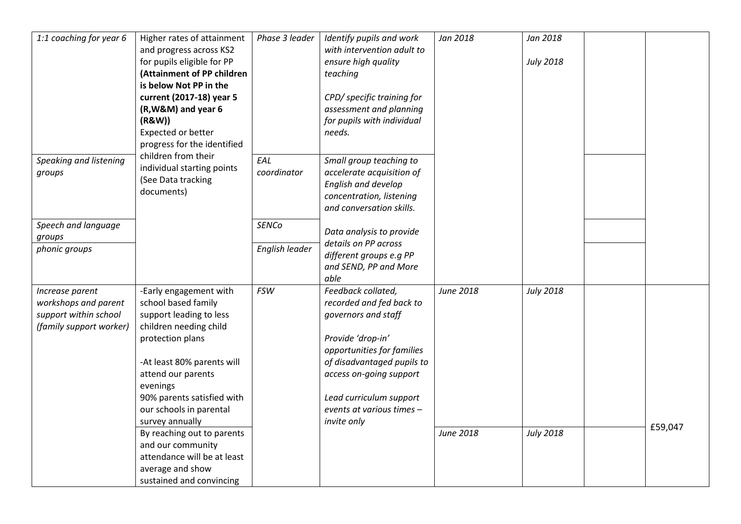| 1:1 coaching for year 6 | Higher rates of attainment  | Phase 3 leader | Identify pupils and work   | Jan 2018  | Jan 2018         |         |
|-------------------------|-----------------------------|----------------|----------------------------|-----------|------------------|---------|
|                         | and progress across KS2     |                | with intervention adult to |           |                  |         |
|                         | for pupils eligible for PP  |                | ensure high quality        |           | <b>July 2018</b> |         |
|                         | (Attainment of PP children  |                | teaching                   |           |                  |         |
|                         | is below Not PP in the      |                |                            |           |                  |         |
|                         | current (2017-18) year 5    |                | CPD/ specific training for |           |                  |         |
|                         | (R, W&M) and year 6         |                | assessment and planning    |           |                  |         |
|                         | (R&W))                      |                | for pupils with individual |           |                  |         |
|                         | Expected or better          |                | needs.                     |           |                  |         |
|                         | progress for the identified |                |                            |           |                  |         |
| Speaking and listening  | children from their         | EAL            | Small group teaching to    |           |                  |         |
| groups                  | individual starting points  | coordinator    | accelerate acquisition of  |           |                  |         |
|                         | (See Data tracking          |                | English and develop        |           |                  |         |
|                         | documents)                  |                | concentration, listening   |           |                  |         |
|                         |                             |                | and conversation skills.   |           |                  |         |
|                         |                             |                |                            |           |                  |         |
| Speech and language     |                             | <b>SENCo</b>   | Data analysis to provide   |           |                  |         |
| groups                  |                             |                | details on PP across       |           |                  |         |
| phonic groups           |                             | English leader | different groups e.g PP    |           |                  |         |
|                         |                             |                | and SEND, PP and More      |           |                  |         |
|                         |                             |                | able                       |           |                  |         |
| Increase parent         | -Early engagement with      | <b>FSW</b>     | Feedback collated,         | June 2018 | <b>July 2018</b> |         |
| workshops and parent    | school based family         |                | recorded and fed back to   |           |                  |         |
| support within school   | support leading to less     |                | governors and staff        |           |                  |         |
| (family support worker) | children needing child      |                |                            |           |                  |         |
|                         | protection plans            |                | Provide 'drop-in'          |           |                  |         |
|                         |                             |                | opportunities for families |           |                  |         |
|                         | -At least 80% parents will  |                | of disadvantaged pupils to |           |                  |         |
|                         | attend our parents          |                | access on-going support    |           |                  |         |
|                         | evenings                    |                |                            |           |                  |         |
|                         | 90% parents satisfied with  |                | Lead curriculum support    |           |                  |         |
|                         | our schools in parental     |                | events at various times -  |           |                  |         |
|                         | survey annually             |                | invite only                |           |                  |         |
|                         | By reaching out to parents  |                |                            | June 2018 | <b>July 2018</b> | £59,047 |
|                         | and our community           |                |                            |           |                  |         |
|                         | attendance will be at least |                |                            |           |                  |         |
|                         | average and show            |                |                            |           |                  |         |
|                         | sustained and convincing    |                |                            |           |                  |         |